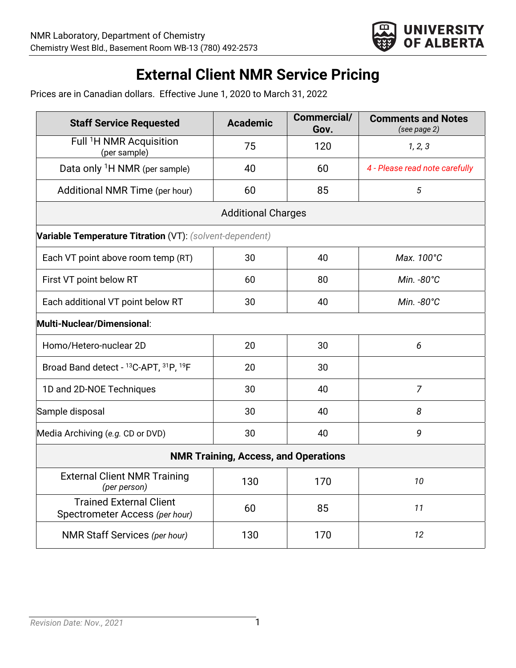

## **External Client NMR Service Pricing**

Prices are in Canadian dollars. Effective June 1, 2020 to March 31, 2022

| <b>Staff Service Requested</b>                                   | <b>Academic</b> | Commercial/<br>Gov. | <b>Comments and Notes</b><br>(see page 2) |
|------------------------------------------------------------------|-----------------|---------------------|-------------------------------------------|
| Full <sup>1</sup> H NMR Acquisition<br>(per sample)              | 75              | 120                 | 1, 2, 3                                   |
| Data only <sup>1</sup> H NMR (per sample)                        | 40              | 60                  | 4 - Please read note carefully            |
| Additional NMR Time (per hour)                                   | 60              | 85                  | 5                                         |
| <b>Additional Charges</b>                                        |                 |                     |                                           |
| Variable Temperature Titration (VT): (solvent-dependent)         |                 |                     |                                           |
| Each VT point above room temp (RT)                               | 30              | 40                  | Max. 100°C                                |
| First VT point below RT                                          | 60              | 80                  | Min. -80°C                                |
| Each additional VT point below RT                                | 30              | 40                  | Min. -80°C                                |
| Multi-Nuclear/Dimensional:                                       |                 |                     |                                           |
| Homo/Hetero-nuclear 2D                                           | 20              | 30                  | 6                                         |
| Broad Band detect - 13C-APT, 31P, 19F                            | 20              | 30                  |                                           |
| 1D and 2D-NOE Techniques                                         | 30              | 40                  | $\overline{7}$                            |
| Sample disposal                                                  | 30              | 40                  | 8                                         |
| Media Archiving (e.g. CD or DVD)                                 | 30              | 40                  | 9                                         |
| <b>NMR Training, Access, and Operations</b>                      |                 |                     |                                           |
| <b>External Client NMR Training</b><br>(per person)              | 130             | 170                 | 10                                        |
| <b>Trained External Client</b><br>Spectrometer Access (per hour) | 60              | 85                  | 11                                        |
| <b>NMR Staff Services (per hour)</b>                             | 130             | 170                 | 12                                        |